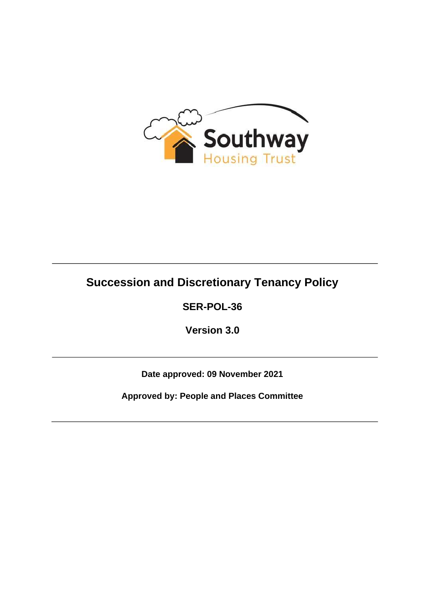

# **Succession and Discretionary Tenancy Policy**

**SER-POL-36** 

**Version 3.0** 

**Date approved: 09 November 2021** 

**Approved by: People and Places Committee**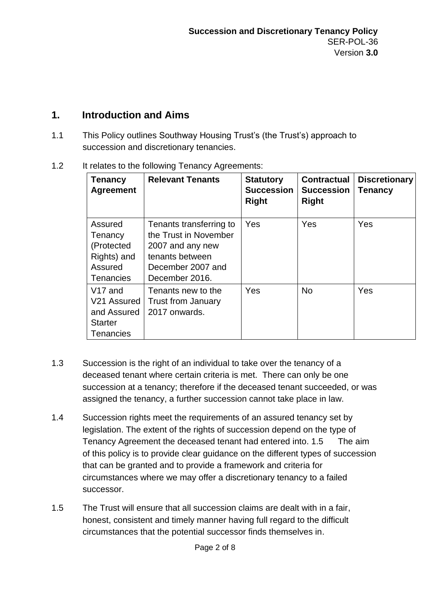# **1. Introduction and Aims**

1.1 This Policy outlines Southway Housing Trust's (the Trust's) approach to succession and discretionary tenancies.

| <b>Tenancy</b><br><b>Agreement</b>                                                      | <b>Relevant Tenants</b>                                                                                                        | <b>Statutory</b><br><b>Succession</b><br><b>Right</b> | <b>Contractual</b><br><b>Succession</b><br><b>Right</b> | <b>Discretionary</b><br><b>Tenancy</b> |
|-----------------------------------------------------------------------------------------|--------------------------------------------------------------------------------------------------------------------------------|-------------------------------------------------------|---------------------------------------------------------|----------------------------------------|
| Assured<br>Tenancy<br>(Protected<br>Rights) and<br>Assured<br><b>Tenancies</b>          | Tenants transferring to<br>the Trust in November<br>2007 and any new<br>tenants between<br>December 2007 and<br>December 2016. | Yes                                                   | Yes                                                     | Yes                                    |
| V <sub>17</sub> and<br>V21 Assured<br>and Assured<br><b>Starter</b><br><b>Tenancies</b> | Tenants new to the<br><b>Trust from January</b><br>2017 onwards.                                                               | <b>Yes</b>                                            | <b>No</b>                                               | Yes                                    |

1.2 It relates to the following Tenancy Agreements:

- 1.3 Succession is the right of an individual to take over the tenancy of a deceased tenant where certain criteria is met. There can only be one succession at a tenancy; therefore if the deceased tenant succeeded, or was assigned the tenancy, a further succession cannot take place in law.
- 1.4 Succession rights meet the requirements of an assured tenancy set by legislation. The extent of the rights of succession depend on the type of Tenancy Agreement the deceased tenant had entered into. 1.5 The aim of this policy is to provide clear guidance on the different types of succession that can be granted and to provide a framework and criteria for circumstances where we may offer a discretionary tenancy to a failed successor.
- 1.5 The Trust will ensure that all succession claims are dealt with in a fair, honest, consistent and timely manner having full regard to the difficult circumstances that the potential successor finds themselves in.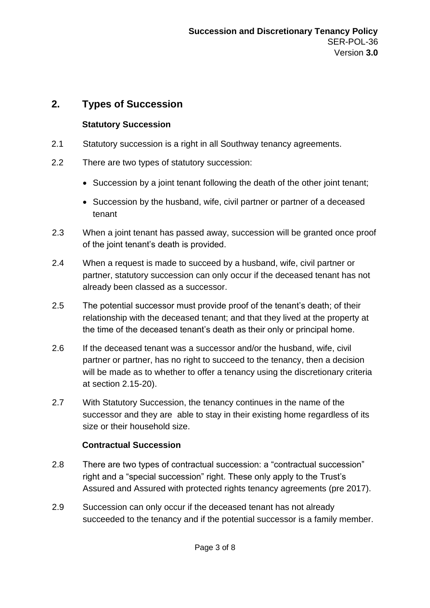# **2. Types of Succession**

### **Statutory Succession**

- 2.1 Statutory succession is a right in all Southway tenancy agreements.
- 2.2 There are two types of statutory succession:
	- Succession by a joint tenant following the death of the other joint tenant;
	- Succession by the husband, wife, civil partner or partner of a deceased tenant
- 2.3 When a joint tenant has passed away, succession will be granted once proof of the joint tenant's death is provided.
- 2.4 When a request is made to succeed by a husband, wife, civil partner or partner, statutory succession can only occur if the deceased tenant has not already been classed as a successor.
- 2.5 The potential successor must provide proof of the tenant's death; of their relationship with the deceased tenant; and that they lived at the property at the time of the deceased tenant's death as their only or principal home.
- 2.6 If the deceased tenant was a successor and/or the husband, wife, civil partner or partner, has no right to succeed to the tenancy, then a decision will be made as to whether to offer a tenancy using the discretionary criteria at section 2.15-20).
- 2.7 With Statutory Succession, the tenancy continues in the name of the successor and they are able to stay in their existing home regardless of its size or their household size.

### **Contractual Succession**

- 2.8 There are two types of contractual succession: a "contractual succession" right and a "special succession" right. These only apply to the Trust's Assured and Assured with protected rights tenancy agreements (pre 2017).
- 2.9 Succession can only occur if the deceased tenant has not already succeeded to the tenancy and if the potential successor is a family member.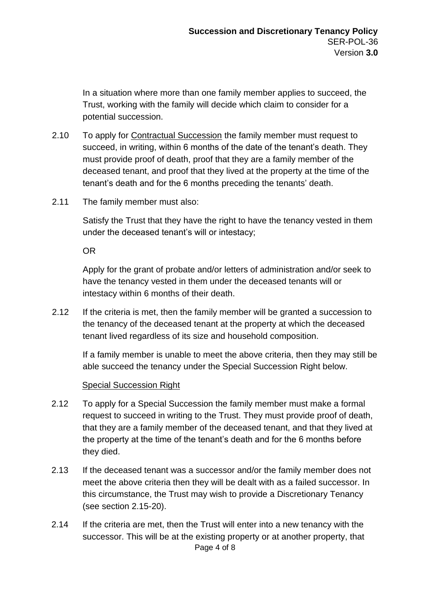In a situation where more than one family member applies to succeed, the Trust, working with the family will decide which claim to consider for a potential succession.

- 2.10 To apply for Contractual Succession the family member must request to succeed, in writing, within 6 months of the date of the tenant's death. They must provide proof of death, proof that they are a family member of the deceased tenant, and proof that they lived at the property at the time of the tenant's death and for the 6 months preceding the tenants' death.
- 2.11 The family member must also:

Satisfy the Trust that they have the right to have the tenancy vested in them under the deceased tenant's will or intestacy;

OR

Apply for the grant of probate and/or letters of administration and/or seek to have the tenancy vested in them under the deceased tenants will or intestacy within 6 months of their death.

2.12 If the criteria is met, then the family member will be granted a succession to the tenancy of the deceased tenant at the property at which the deceased tenant lived regardless of its size and household composition.

If a family member is unable to meet the above criteria, then they may still be able succeed the tenancy under the Special Succession Right below.

#### Special Succession Right

- 2.12 To apply for a Special Succession the family member must make a formal request to succeed in writing to the Trust. They must provide proof of death, that they are a family member of the deceased tenant, and that they lived at the property at the time of the tenant's death and for the 6 months before they died.
- 2.13 If the deceased tenant was a successor and/or the family member does not meet the above criteria then they will be dealt with as a failed successor. In this circumstance, the Trust may wish to provide a Discretionary Tenancy (see section 2.15-20).
- Page 4 of 8 2.14 If the criteria are met, then the Trust will enter into a new tenancy with the successor. This will be at the existing property or at another property, that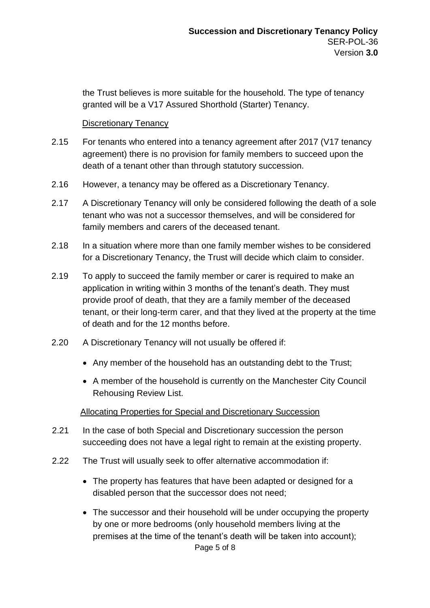the Trust believes is more suitable for the household. The type of tenancy granted will be a V17 Assured Shorthold (Starter) Tenancy.

#### Discretionary Tenancy

- 2.15 For tenants who entered into a tenancy agreement after 2017 (V17 tenancy agreement) there is no provision for family members to succeed upon the death of a tenant other than through statutory succession.
- 2.16 However, a tenancy may be offered as a Discretionary Tenancy.
- 2.17 A Discretionary Tenancy will only be considered following the death of a sole tenant who was not a successor themselves, and will be considered for family members and carers of the deceased tenant.
- 2.18 In a situation where more than one family member wishes to be considered for a Discretionary Tenancy, the Trust will decide which claim to consider.
- 2.19 To apply to succeed the family member or carer is required to make an application in writing within 3 months of the tenant's death. They must provide proof of death, that they are a family member of the deceased tenant, or their long-term carer, and that they lived at the property at the time of death and for the 12 months before.
- 2.20 A Discretionary Tenancy will not usually be offered if:
	- Any member of the household has an outstanding debt to the Trust;
	- A member of the household is currently on the Manchester City Council Rehousing Review List.

#### Allocating Properties for Special and Discretionary Succession

- 2.21 In the case of both Special and Discretionary succession the person succeeding does not have a legal right to remain at the existing property.
- 2.22 The Trust will usually seek to offer alternative accommodation if:
	- The property has features that have been adapted or designed for a disabled person that the successor does not need;
	- The successor and their household will be under occupying the property by one or more bedrooms (only household members living at the premises at the time of the tenant's death will be taken into account);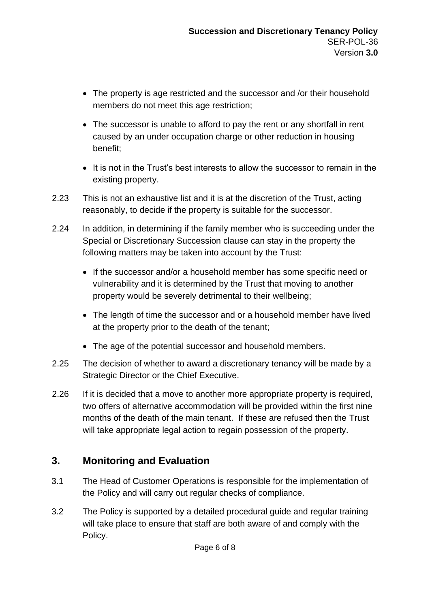- The property is age restricted and the successor and /or their household members do not meet this age restriction;
- The successor is unable to afford to pay the rent or any shortfall in rent caused by an under occupation charge or other reduction in housing benefit;
- It is not in the Trust's best interests to allow the successor to remain in the existing property.
- 2.23 This is not an exhaustive list and it is at the discretion of the Trust, acting reasonably, to decide if the property is suitable for the successor.
- 2.24 In addition, in determining if the family member who is succeeding under the Special or Discretionary Succession clause can stay in the property the following matters may be taken into account by the Trust:
	- If the successor and/or a household member has some specific need or vulnerability and it is determined by the Trust that moving to another property would be severely detrimental to their wellbeing;
	- The length of time the successor and or a household member have lived at the property prior to the death of the tenant;
	- The age of the potential successor and household members.
- 2.25 The decision of whether to award a discretionary tenancy will be made by a Strategic Director or the Chief Executive.
- 2.26 If it is decided that a move to another more appropriate property is required, two offers of alternative accommodation will be provided within the first nine months of the death of the main tenant. If these are refused then the Trust will take appropriate legal action to regain possession of the property.

# **3. Monitoring and Evaluation**

- 3.1 The Head of Customer Operations is responsible for the implementation of the Policy and will carry out regular checks of compliance.
- 3.2 The Policy is supported by a detailed procedural guide and regular training will take place to ensure that staff are both aware of and comply with the Policy.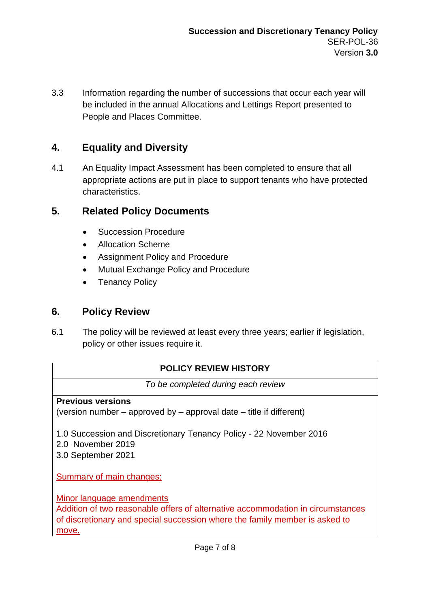3.3 Information regarding the number of successions that occur each year will be included in the annual Allocations and Lettings Report presented to People and Places Committee.

### **4. Equality and Diversity**

4.1 An Equality Impact Assessment has been completed to ensure that all appropriate actions are put in place to support tenants who have protected characteristics.

### **5. Related Policy Documents**

- Succession Procedure
- Allocation Scheme
- Assignment Policy and Procedure
- Mutual Exchange Policy and Procedure
- **Tenancy Policy**

### **6. Policy Review**

6.1 The policy will be reviewed at least every three years; earlier if legislation, policy or other issues require it.

### **POLICY REVIEW HISTORY**

*To be completed during each review* 

### **Previous versions**

(version number – approved by – approval date – title if different)

1.0 Succession and Discretionary Tenancy Policy - 22 November 2016

- 2.0 November 2019
- 3.0 September 2021

Summary of main changes:

Minor language amendments

Addition of two reasonable offers of alternative accommodation in circumstances of discretionary and special succession where the family member is asked to move.